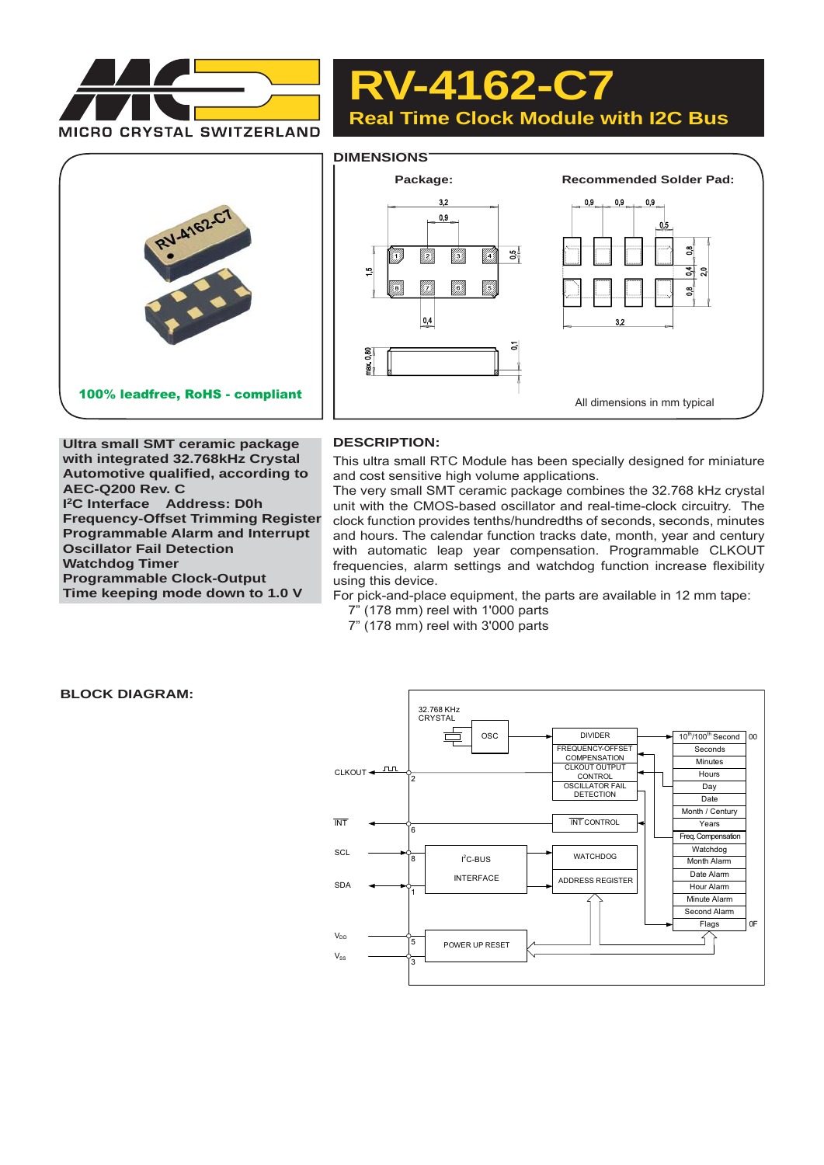

**RV-4162-C7 Real Time Clock Module with I2C Bus**



**Ultra small SMT ceramic package with integrated 32.768kHz Crystal Automotive qualified, according to AEC-Q200 Rev. C I 2C Interface Address: D0h Frequency-Offset Trimming Register Programmable Alarm and Interrupt Oscillator Fail Detection Watchdog Timer Programmable Clock-Output Time keeping mode down to 1.0 V**

## **DESCRIPTION:**

This ultra small RTC Module has been specially designed for miniature and cost sensitive high volume applications.

The very small SMT ceramic package combines the 32.768 kHz crystal unit with the CMOS-based oscillator and real-time-clock circuitry. The clock function provides tenths/hundredths of seconds, seconds, minutes and hours. The calendar function tracks date, month, year and century with automatic leap year compensation. Programmable CLKOUT frequencies, alarm settings and watchdog function increase flexibility using this device.

For pick-and-place equipment, the parts are available in 12 mm tape:

- 7" (178 mm) reel with 1'000 parts
- 7" (178 mm) reel with 3'000 parts

### **BLOCK DIAGRAM:**